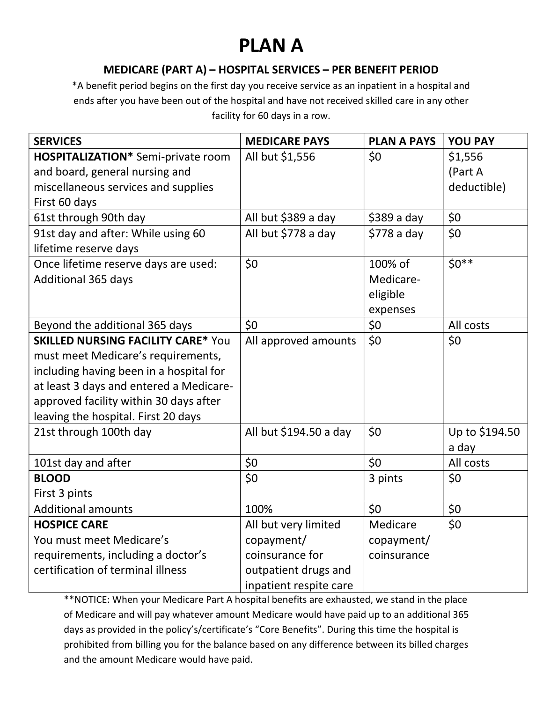# PLAN A

#### MEDICARE (PART A) – HOSPITAL SERVICES – PER BENEFIT PERIOD

\*A benefit period begins on the first day you receive service as an inpatient in a hospital and ends after you have been out of the hospital and have not received skilled care in any other facility for 60 days in a row.

| <b>SERVICES</b>                           | <b>MEDICARE PAYS</b>   | <b>PLAN A PAYS</b> | <b>YOU PAY</b> |
|-------------------------------------------|------------------------|--------------------|----------------|
| <b>HOSPITALIZATION*</b> Semi-private room | All but \$1,556        | \$0                | \$1,556        |
| and board, general nursing and            |                        |                    | (Part A        |
| miscellaneous services and supplies       |                        |                    | deductible)    |
| First 60 days                             |                        |                    |                |
| 61st through 90th day                     | All but \$389 a day    | $$389a$ day        | \$0            |
| 91st day and after: While using 60        | All but \$778 a day    | $$778a$ day        | \$0            |
| lifetime reserve days                     |                        |                    |                |
| Once lifetime reserve days are used:      | \$0                    | 100% of            | $50**$         |
| <b>Additional 365 days</b>                |                        | Medicare-          |                |
|                                           |                        | eligible           |                |
|                                           |                        | expenses           |                |
| Beyond the additional 365 days            | \$0                    | \$0                | All costs      |
| <b>SKILLED NURSING FACILITY CARE* You</b> | All approved amounts   | \$0                | \$0            |
| must meet Medicare's requirements,        |                        |                    |                |
| including having been in a hospital for   |                        |                    |                |
| at least 3 days and entered a Medicare-   |                        |                    |                |
| approved facility within 30 days after    |                        |                    |                |
| leaving the hospital. First 20 days       |                        |                    |                |
| 21st through 100th day                    | All but \$194.50 a day | \$0                | Up to \$194.50 |
|                                           |                        |                    | a day          |
| 101st day and after                       | \$0                    | \$0                | All costs      |
| <b>BLOOD</b>                              | \$0                    | 3 pints            | \$0            |
| First 3 pints                             |                        |                    |                |
| <b>Additional amounts</b>                 | 100%                   | \$0                | \$0            |
| <b>HOSPICE CARE</b>                       | All but very limited   | Medicare           | \$0            |
| You must meet Medicare's                  | copayment/             | copayment/         |                |
| requirements, including a doctor's        | coinsurance for        | coinsurance        |                |
| certification of terminal illness         | outpatient drugs and   |                    |                |
|                                           | inpatient respite care |                    |                |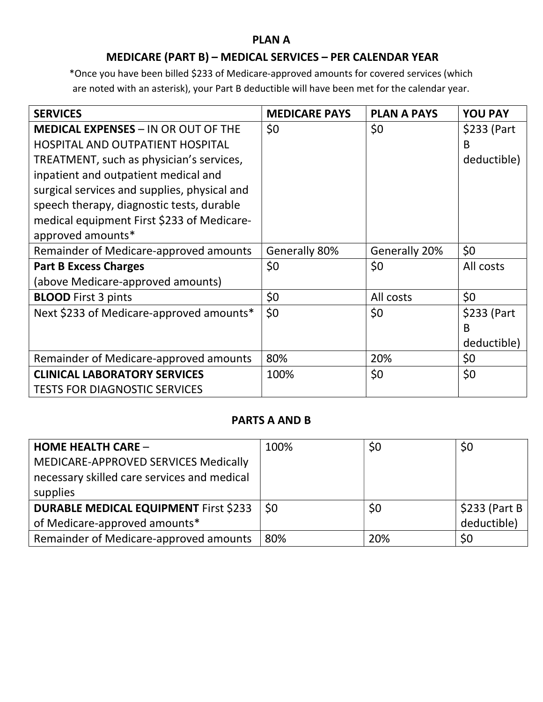#### PLAN A

## MEDICARE (PART B) – MEDICAL SERVICES – PER CALENDAR YEAR

\*Once you have been billed \$233 of Medicare-approved amounts for covered services (which are noted with an asterisk), your Part B deductible will have been met for the calendar year.

| <b>SERVICES</b>                              | <b>MEDICARE PAYS</b> | <b>PLAN A PAYS</b> | <b>YOU PAY</b> |
|----------------------------------------------|----------------------|--------------------|----------------|
| <b>MEDICAL EXPENSES - IN OR OUT OF THE</b>   | \$0                  | \$0                | \$233 (Part    |
| <b>HOSPITAL AND OUTPATIENT HOSPITAL</b>      |                      |                    | B              |
| TREATMENT, such as physician's services,     |                      |                    | deductible)    |
| inpatient and outpatient medical and         |                      |                    |                |
| surgical services and supplies, physical and |                      |                    |                |
| speech therapy, diagnostic tests, durable    |                      |                    |                |
| medical equipment First \$233 of Medicare-   |                      |                    |                |
| approved amounts*                            |                      |                    |                |
| Remainder of Medicare-approved amounts       | Generally 80%        | Generally 20%      | \$0            |
| <b>Part B Excess Charges</b>                 | \$0                  | \$0                | All costs      |
| (above Medicare-approved amounts)            |                      |                    |                |
| <b>BLOOD</b> First 3 pints                   | \$0                  | All costs          | \$0            |
| Next \$233 of Medicare-approved amounts*     | \$0                  | \$0                | \$233 (Part    |
|                                              |                      |                    | B              |
|                                              |                      |                    | deductible)    |
| Remainder of Medicare-approved amounts       | 80%                  | 20%                | \$0            |
| <b>CLINICAL LABORATORY SERVICES</b>          | 100%                 | \$0                | \$0            |
| <b>TESTS FOR DIAGNOSTIC SERVICES</b>         |                      |                    |                |

#### PARTS A AND B

| <b>HOME HEALTH CARE -</b>                    | 100% | \$0 | \$0             |
|----------------------------------------------|------|-----|-----------------|
| MEDICARE-APPROVED SERVICES Medically         |      |     |                 |
| necessary skilled care services and medical  |      |     |                 |
| supplies                                     |      |     |                 |
| <b>DURABLE MEDICAL EQUIPMENT First \$233</b> | \$0  | \$0 | $$233$ (Part B) |
| of Medicare-approved amounts*                |      |     | deductible)     |
| Remainder of Medicare-approved amounts       | 80%  | 20% | \$0             |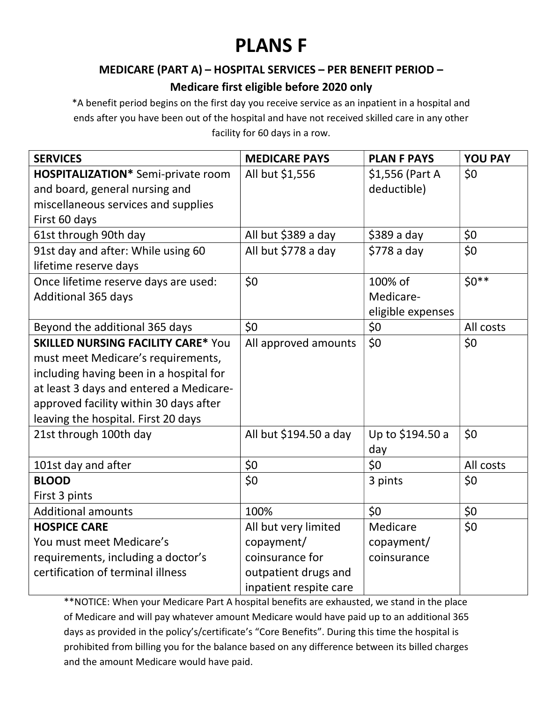# PLANS F

#### MEDICARE (PART A) – HOSPITAL SERVICES – PER BENEFIT PERIOD –

## Medicare first eligible before 2020 only

\*A benefit period begins on the first day you receive service as an inpatient in a hospital and ends after you have been out of the hospital and have not received skilled care in any other facility for 60 days in a row.

| <b>SERVICES</b>                           | <b>MEDICARE PAYS</b>   | <b>PLAN F PAYS</b> | <b>YOU PAY</b> |
|-------------------------------------------|------------------------|--------------------|----------------|
| <b>HOSPITALIZATION*</b> Semi-private room | All but \$1,556        | \$1,556 (Part A    | \$0            |
| and board, general nursing and            |                        | deductible)        |                |
| miscellaneous services and supplies       |                        |                    |                |
| First 60 days                             |                        |                    |                |
| 61st through 90th day                     | All but \$389 a day    | $$389$ a day       | \$0            |
| 91st day and after: While using 60        | All but \$778 a day    | $$778a$ day        | \$0            |
| lifetime reserve days                     |                        |                    |                |
| Once lifetime reserve days are used:      | \$0                    | 100% of            | $$0**$$        |
| <b>Additional 365 days</b>                |                        | Medicare-          |                |
|                                           |                        | eligible expenses  |                |
| Beyond the additional 365 days            | \$0                    | \$0                | All costs      |
| <b>SKILLED NURSING FACILITY CARE* You</b> | All approved amounts   | \$0                | \$0            |
| must meet Medicare's requirements,        |                        |                    |                |
| including having been in a hospital for   |                        |                    |                |
| at least 3 days and entered a Medicare-   |                        |                    |                |
| approved facility within 30 days after    |                        |                    |                |
| leaving the hospital. First 20 days       |                        |                    |                |
| 21st through 100th day                    | All but \$194.50 a day | Up to \$194.50 a   | \$0            |
|                                           |                        | day                |                |
| 101st day and after                       | \$0                    | \$0                | All costs      |
| <b>BLOOD</b>                              | \$0                    | 3 pints            | \$0            |
| First 3 pints                             |                        |                    |                |
| <b>Additional amounts</b>                 | 100%                   | \$0                | \$0            |
| <b>HOSPICE CARE</b>                       | All but very limited   | Medicare           | \$0\$          |
| You must meet Medicare's                  | copayment/             | copayment/         |                |
| requirements, including a doctor's        | coinsurance for        | coinsurance        |                |
| certification of terminal illness         | outpatient drugs and   |                    |                |
|                                           | inpatient respite care |                    |                |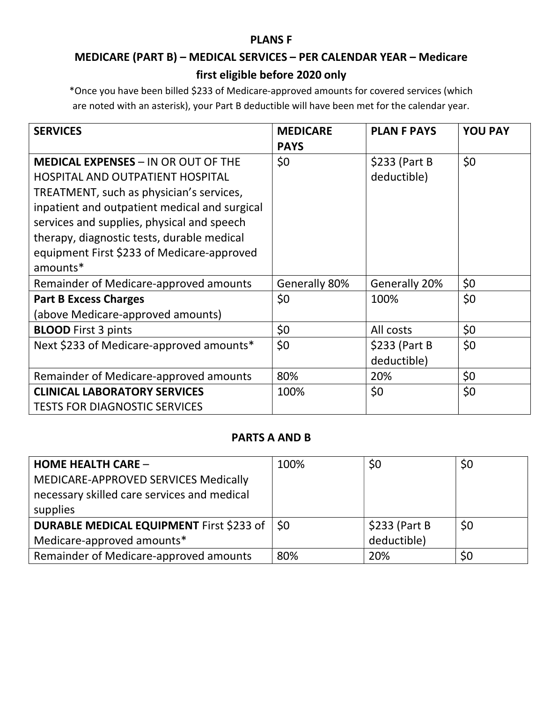#### PLANS F

# MEDICARE (PART B) – MEDICAL SERVICES – PER CALENDAR YEAR – Medicare first eligible before 2020 only

\*Once you have been billed \$233 of Medicare-approved amounts for covered services (which are noted with an asterisk), your Part B deductible will have been met for the calendar year.

| <b>SERVICES</b>                               | <b>MEDICARE</b><br><b>PAYS</b> | <b>PLAN F PAYS</b> | <b>YOU PAY</b> |
|-----------------------------------------------|--------------------------------|--------------------|----------------|
| <b>MEDICAL EXPENSES - IN OR OUT OF THE</b>    | \$0                            | $$233$ (Part B)    | \$0            |
| <b>HOSPITAL AND OUTPATIENT HOSPITAL</b>       |                                | deductible)        |                |
| TREATMENT, such as physician's services,      |                                |                    |                |
| inpatient and outpatient medical and surgical |                                |                    |                |
| services and supplies, physical and speech    |                                |                    |                |
| therapy, diagnostic tests, durable medical    |                                |                    |                |
| equipment First \$233 of Medicare-approved    |                                |                    |                |
| amounts*                                      |                                |                    |                |
| Remainder of Medicare-approved amounts        | Generally 80%                  | Generally 20%      | \$0            |
| <b>Part B Excess Charges</b>                  | \$0                            | 100%               | \$0            |
| (above Medicare-approved amounts)             |                                |                    |                |
| <b>BLOOD</b> First 3 pints                    | \$0                            | All costs          | \$0            |
| Next \$233 of Medicare-approved amounts*      | \$0                            | $$233$ (Part B)    | \$0            |
|                                               |                                | deductible)        |                |
| Remainder of Medicare-approved amounts        | 80%                            | 20%                | \$0            |
| <b>CLINICAL LABORATORY SERVICES</b>           | 100%                           | \$0                | \$0            |
| <b>TESTS FOR DIAGNOSTIC SERVICES</b>          |                                |                    |                |

#### PARTS A AND B

| <b>HOME HEALTH CARE -</b>                       | 100% | \$0            | \$0 |
|-------------------------------------------------|------|----------------|-----|
| MEDICARE-APPROVED SERVICES Medically            |      |                |     |
| necessary skilled care services and medical     |      |                |     |
| supplies                                        |      |                |     |
| <b>DURABLE MEDICAL EQUIPMENT First \$233 of</b> | \$0  | $$233$ (Part B | \$0 |
| Medicare-approved amounts*                      |      | deductible)    |     |
| Remainder of Medicare-approved amounts          | 80%  | 20%            | \$0 |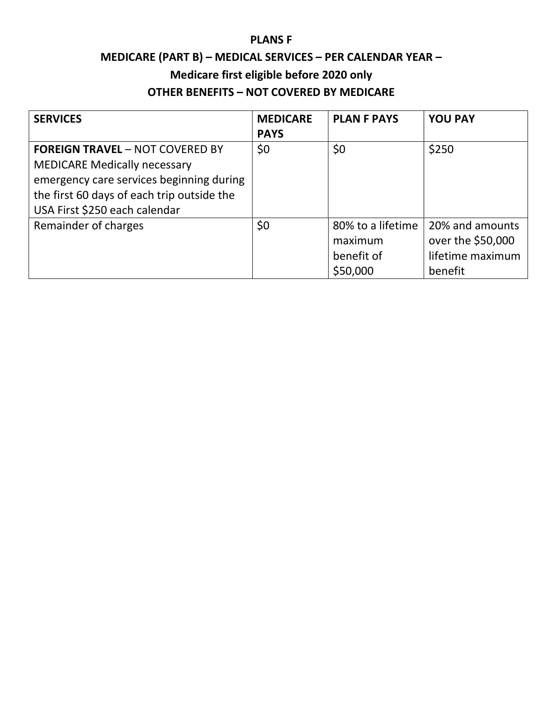#### PLANS F

# MEDICARE (PART B) – MEDICAL SERVICES – PER CALENDAR YEAR – Medicare first eligible before 2020 only OTHER BENEFITS – NOT COVERED BY MEDICARE

| <b>SERVICES</b>                                                                                                                                                                                          | <b>MEDICARE</b><br><b>PAYS</b> | <b>PLAN F PAYS</b>                                     | <b>YOU PAY</b>                                                      |
|----------------------------------------------------------------------------------------------------------------------------------------------------------------------------------------------------------|--------------------------------|--------------------------------------------------------|---------------------------------------------------------------------|
| <b>FOREIGN TRAVEL - NOT COVERED BY</b><br><b>MEDICARE Medically necessary</b><br>emergency care services beginning during<br>the first 60 days of each trip outside the<br>USA First \$250 each calendar | \$0                            | \$0                                                    | \$250                                                               |
| Remainder of charges                                                                                                                                                                                     | \$0                            | 80% to a lifetime<br>maximum<br>benefit of<br>\$50,000 | 20% and amounts<br>over the \$50,000<br>lifetime maximum<br>benefit |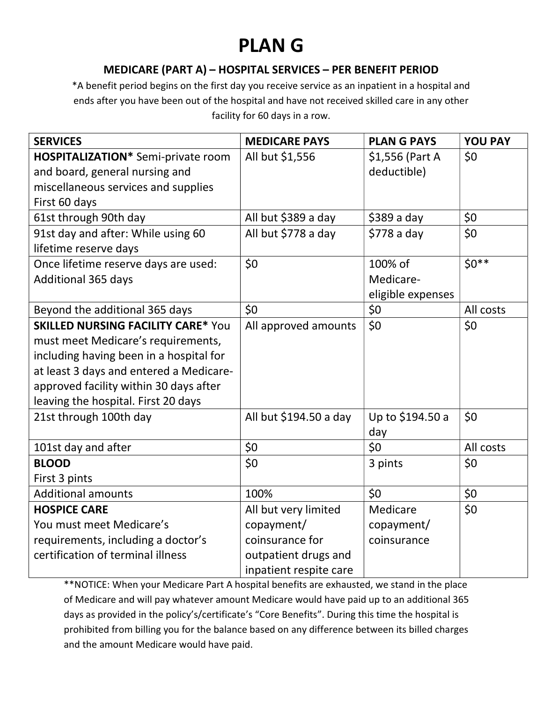# PLAN G

### MEDICARE (PART A) – HOSPITAL SERVICES – PER BENEFIT PERIOD

\*A benefit period begins on the first day you receive service as an inpatient in a hospital and ends after you have been out of the hospital and have not received skilled care in any other facility for 60 days in a row.

| <b>SERVICES</b>                           | <b>MEDICARE PAYS</b>   | <b>PLANG PAYS</b> | <b>YOU PAY</b> |
|-------------------------------------------|------------------------|-------------------|----------------|
| <b>HOSPITALIZATION*</b> Semi-private room | All but \$1,556        | \$1,556 (Part A   | \$0            |
| and board, general nursing and            |                        | deductible)       |                |
| miscellaneous services and supplies       |                        |                   |                |
| First 60 days                             |                        |                   |                |
| 61st through 90th day                     | All but \$389 a day    | $$389a$ day       | \$0            |
| 91st day and after: While using 60        | All but \$778 a day    | $$778a$ day       | \$0            |
| lifetime reserve days                     |                        |                   |                |
| Once lifetime reserve days are used:      | \$0                    | 100% of           | $$0**$$        |
| <b>Additional 365 days</b>                |                        | Medicare-         |                |
|                                           |                        | eligible expenses |                |
| Beyond the additional 365 days            | \$0                    | \$0               | All costs      |
| <b>SKILLED NURSING FACILITY CARE* You</b> | All approved amounts   | \$0               | \$0            |
| must meet Medicare's requirements,        |                        |                   |                |
| including having been in a hospital for   |                        |                   |                |
| at least 3 days and entered a Medicare-   |                        |                   |                |
| approved facility within 30 days after    |                        |                   |                |
| leaving the hospital. First 20 days       |                        |                   |                |
| 21st through 100th day                    | All but \$194.50 a day | Up to \$194.50 a  | \$0            |
|                                           |                        | day               |                |
| 101st day and after                       | \$0                    | \$0               | All costs      |
| <b>BLOOD</b>                              | \$0\$                  | 3 pints           | \$0            |
| First 3 pints                             |                        |                   |                |
| <b>Additional amounts</b>                 | 100%                   | \$0               | \$0            |
| <b>HOSPICE CARE</b>                       | All but very limited   | Medicare          | \$0            |
| You must meet Medicare's                  | copayment/             | copayment/        |                |
| requirements, including a doctor's        | coinsurance for        | coinsurance       |                |
| certification of terminal illness         | outpatient drugs and   |                   |                |
|                                           | inpatient respite care |                   |                |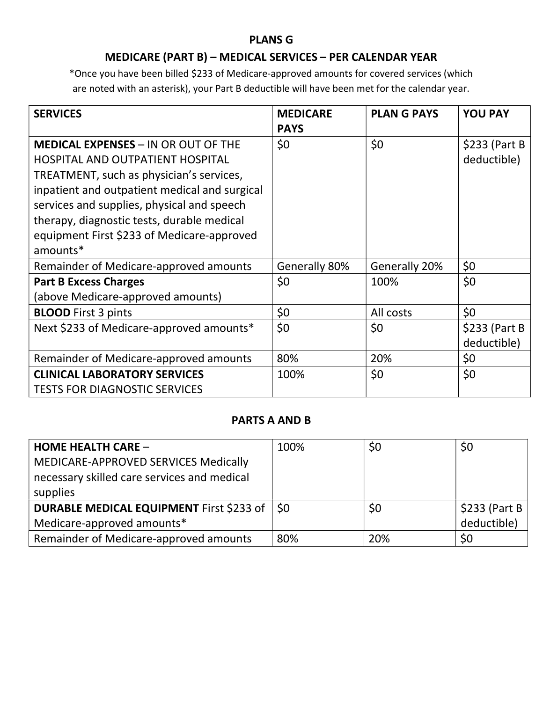#### PLANS G

## MEDICARE (PART B) – MEDICAL SERVICES – PER CALENDAR YEAR

\*Once you have been billed \$233 of Medicare-approved amounts for covered services (which are noted with an asterisk), your Part B deductible will have been met for the calendar year.

| <b>SERVICES</b>                               | <b>MEDICARE</b><br><b>PAYS</b> | <b>PLAN G PAYS</b> | <b>YOU PAY</b>  |
|-----------------------------------------------|--------------------------------|--------------------|-----------------|
| <b>MEDICAL EXPENSES - IN OR OUT OF THE</b>    | \$0                            | \$0                | $$233$ (Part B) |
| <b>HOSPITAL AND OUTPATIENT HOSPITAL</b>       |                                |                    | deductible)     |
| TREATMENT, such as physician's services,      |                                |                    |                 |
| inpatient and outpatient medical and surgical |                                |                    |                 |
| services and supplies, physical and speech    |                                |                    |                 |
| therapy, diagnostic tests, durable medical    |                                |                    |                 |
| equipment First \$233 of Medicare-approved    |                                |                    |                 |
| amounts*                                      |                                |                    |                 |
| Remainder of Medicare-approved amounts        | Generally 80%                  | Generally 20%      | \$0             |
| <b>Part B Excess Charges</b>                  | \$0                            | 100%               | \$0             |
| (above Medicare-approved amounts)             |                                |                    |                 |
| <b>BLOOD</b> First 3 pints                    | \$0                            | All costs          | \$0             |
| Next \$233 of Medicare-approved amounts*      | \$0                            | \$0                | $$233$ (Part B) |
|                                               |                                |                    | deductible)     |
| Remainder of Medicare-approved amounts        | 80%                            | 20%                | \$0             |
| <b>CLINICAL LABORATORY SERVICES</b>           | 100%                           | \$0                | \$0             |
| <b>TESTS FOR DIAGNOSTIC SERVICES</b>          |                                |                    |                 |

#### PARTS A AND B

| <b>HOME HEALTH CARE -</b>                   | 100%      | \$0 | \$0            |
|---------------------------------------------|-----------|-----|----------------|
| MEDICARE-APPROVED SERVICES Medically        |           |     |                |
| necessary skilled care services and medical |           |     |                |
| supplies                                    |           |     |                |
| DURABLE MEDICAL EQUIPMENT First \$233 of    | <b>SO</b> | \$0 | $$233$ (Part B |
| Medicare-approved amounts*                  |           |     | deductible)    |
| Remainder of Medicare-approved amounts      | 80%       | 20% | \$0            |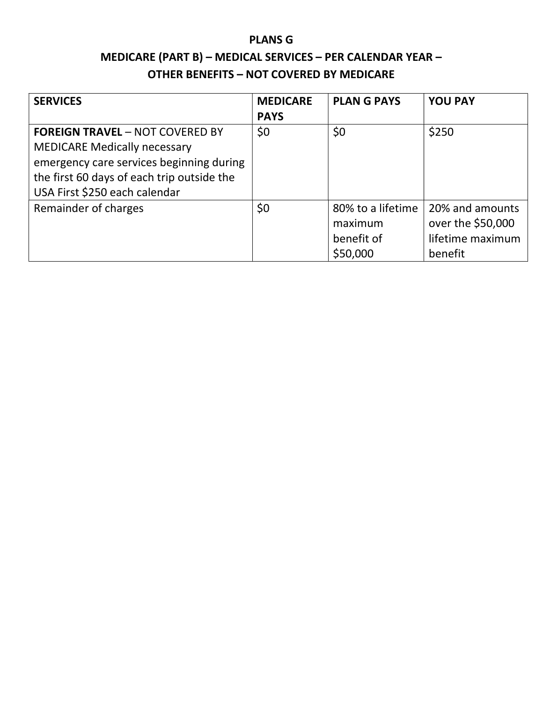# PLANS G MEDICARE (PART B) – MEDICAL SERVICES – PER CALENDAR YEAR – OTHER BENEFITS – NOT COVERED BY MEDICARE

| <b>SERVICES</b>                            | <b>MEDICARE</b><br><b>PAYS</b> | <b>PLANG PAYS</b> | <b>YOU PAY</b>    |
|--------------------------------------------|--------------------------------|-------------------|-------------------|
| <b>FOREIGN TRAVEL - NOT COVERED BY</b>     | \$0                            | \$0               | \$250             |
| <b>MEDICARE Medically necessary</b>        |                                |                   |                   |
| emergency care services beginning during   |                                |                   |                   |
| the first 60 days of each trip outside the |                                |                   |                   |
| USA First \$250 each calendar              |                                |                   |                   |
| Remainder of charges                       | \$0                            | 80% to a lifetime | 20% and amounts   |
|                                            |                                | maximum           | over the \$50,000 |
|                                            |                                | benefit of        | lifetime maximum  |
|                                            |                                | \$50,000          | benefit           |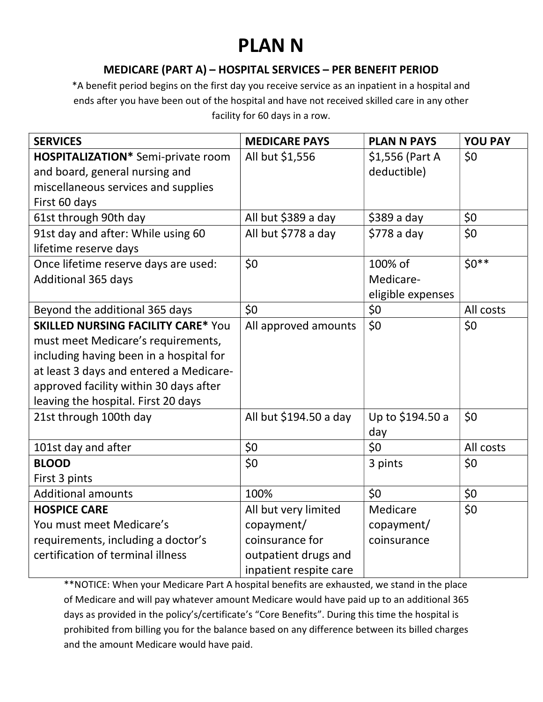# PLAN N

### MEDICARE (PART A) – HOSPITAL SERVICES – PER BENEFIT PERIOD

\*A benefit period begins on the first day you receive service as an inpatient in a hospital and ends after you have been out of the hospital and have not received skilled care in any other facility for 60 days in a row.

| <b>SERVICES</b>                           | <b>MEDICARE PAYS</b>   | <b>PLAN N PAYS</b> | <b>YOU PAY</b> |
|-------------------------------------------|------------------------|--------------------|----------------|
| <b>HOSPITALIZATION*</b> Semi-private room | All but \$1,556        | \$1,556 (Part A    | \$0            |
| and board, general nursing and            |                        | deductible)        |                |
| miscellaneous services and supplies       |                        |                    |                |
| First 60 days                             |                        |                    |                |
| 61st through 90th day                     | All but \$389 a day    | $$389a$ day        | \$0            |
| 91st day and after: While using 60        | All but \$778 a day    | $$778a$ day        | \$0            |
| lifetime reserve days                     |                        |                    |                |
| Once lifetime reserve days are used:      | \$0                    | 100% of            | $$0**$$        |
| <b>Additional 365 days</b>                |                        | Medicare-          |                |
|                                           |                        | eligible expenses  |                |
| Beyond the additional 365 days            | \$0                    | \$0                | All costs      |
| <b>SKILLED NURSING FACILITY CARE* You</b> | All approved amounts   | \$0                | \$0            |
| must meet Medicare's requirements,        |                        |                    |                |
| including having been in a hospital for   |                        |                    |                |
| at least 3 days and entered a Medicare-   |                        |                    |                |
| approved facility within 30 days after    |                        |                    |                |
| leaving the hospital. First 20 days       |                        |                    |                |
| 21st through 100th day                    | All but \$194.50 a day | Up to \$194.50 a   | \$0            |
|                                           |                        | day                |                |
| 101st day and after                       | \$0                    | \$0                | All costs      |
| <b>BLOOD</b>                              | \$0                    | 3 pints            | \$0            |
| First 3 pints                             |                        |                    |                |
| <b>Additional amounts</b>                 | 100%                   | \$0                | \$0            |
| <b>HOSPICE CARE</b>                       | All but very limited   | Medicare           | \$0            |
| You must meet Medicare's                  | copayment/             | copayment/         |                |
| requirements, including a doctor's        | coinsurance for        | coinsurance        |                |
| certification of terminal illness         | outpatient drugs and   |                    |                |
|                                           | inpatient respite care |                    |                |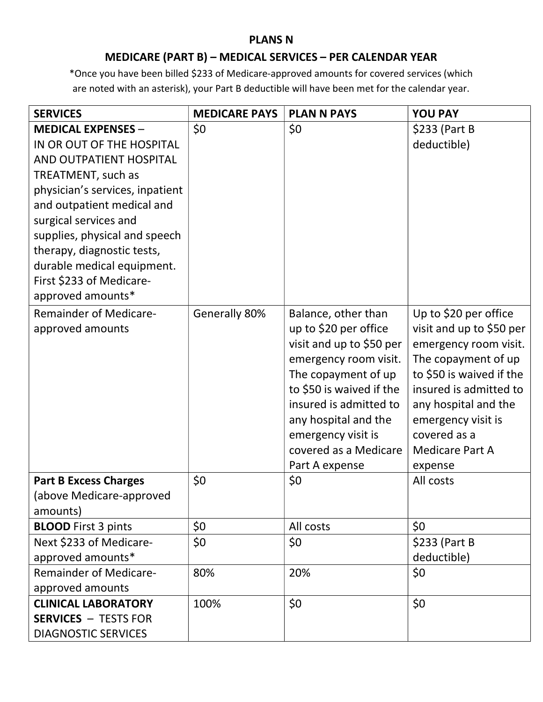#### PLANS N

## MEDICARE (PART B) – MEDICAL SERVICES – PER CALENDAR YEAR

\*Once you have been billed \$233 of Medicare-approved amounts for covered services (which are noted with an asterisk), your Part B deductible will have been met for the calendar year.

| <b>SERVICES</b>                               | <b>MEDICARE PAYS</b> | <b>PLAN N PAYS</b>                           | <b>YOU PAY</b>                                    |
|-----------------------------------------------|----------------------|----------------------------------------------|---------------------------------------------------|
| <b>MEDICAL EXPENSES -</b>                     | \$0                  | \$0                                          | \$233 (Part B                                     |
| IN OR OUT OF THE HOSPITAL                     |                      |                                              | deductible)                                       |
| AND OUTPATIENT HOSPITAL                       |                      |                                              |                                                   |
| TREATMENT, such as                            |                      |                                              |                                                   |
| physician's services, inpatient               |                      |                                              |                                                   |
| and outpatient medical and                    |                      |                                              |                                                   |
| surgical services and                         |                      |                                              |                                                   |
| supplies, physical and speech                 |                      |                                              |                                                   |
| therapy, diagnostic tests,                    |                      |                                              |                                                   |
| durable medical equipment.                    |                      |                                              |                                                   |
| First \$233 of Medicare-<br>approved amounts* |                      |                                              |                                                   |
|                                               |                      |                                              |                                                   |
| <b>Remainder of Medicare-</b>                 | Generally 80%        | Balance, other than<br>up to \$20 per office | Up to \$20 per office<br>visit and up to \$50 per |
| approved amounts                              |                      | visit and up to \$50 per                     | emergency room visit.                             |
|                                               |                      | emergency room visit.                        | The copayment of up                               |
|                                               |                      | The copayment of up                          | to \$50 is waived if the                          |
|                                               |                      | to \$50 is waived if the                     | insured is admitted to                            |
|                                               |                      | insured is admitted to                       | any hospital and the                              |
|                                               |                      | any hospital and the                         | emergency visit is                                |
|                                               |                      | emergency visit is                           | covered as a                                      |
|                                               |                      | covered as a Medicare                        | <b>Medicare Part A</b>                            |
|                                               |                      | Part A expense                               | expense                                           |
| <b>Part B Excess Charges</b>                  | \$0                  | \$0                                          | All costs                                         |
| (above Medicare-approved                      |                      |                                              |                                                   |
| amounts)                                      |                      |                                              |                                                   |
| <b>BLOOD</b> First 3 pints                    | \$0                  | All costs                                    | \$0                                               |
| Next \$233 of Medicare-                       | \$0                  | \$0                                          | $$233$ (Part B)                                   |
| approved amounts*                             |                      |                                              | deductible)                                       |
| <b>Remainder of Medicare-</b>                 | 80%                  | 20%                                          | \$0                                               |
| approved amounts                              |                      |                                              |                                                   |
| <b>CLINICAL LABORATORY</b>                    | 100%                 | \$0                                          | \$0                                               |
| <b>SERVICES - TESTS FOR</b>                   |                      |                                              |                                                   |
| <b>DIAGNOSTIC SERVICES</b>                    |                      |                                              |                                                   |